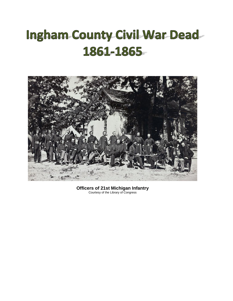## **Ingham County Civil War Dead-**1861-1865



**Officers of 21st Michigan Infantry**  Courtesy of the Library of Congress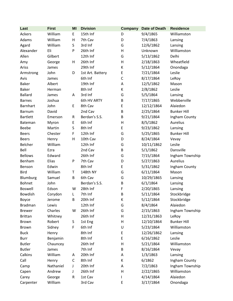| Last            | <b>First</b> | MI      | <b>Division</b>  | <b>Company</b> | Date of Death | <b>Residence</b>   |
|-----------------|--------------|---------|------------------|----------------|---------------|--------------------|
| Ackers          | William      | E       | 15th Inf         | D              | 9/4/1865      | Williamston        |
| Adams           | William      | Η       | 7th Cav          | D              | 7/4/1863      | Lansing            |
| Agard           | William      | S       | 3rd Inf          | G              | 12/6/1862     | Lansing            |
| Alexander       | Eli          | P       | 26th Inf         | Н              | Unknown       | Williamston        |
| Allen           | Gilbert      |         | 12th Inf         | G              | 5/13/1862     | Delhi              |
| Amy             | George       | н       | 26th Inf         | H              | 2/18/1863     | Wheatfield         |
| Ariss           | James        |         | 29th Inf         | К              | 5/12/1864     | Onondaga           |
| Armstrong       | John         | D       | 1st Art. Battery | E              | 7/21/1864     | Leslie             |
| Avis            | James        |         | 6th Inf          | $\mathsf{C}$   | 8/17/1864     | LeRoy              |
| <b>Baker</b>    | Albert       |         | 19th Inf         | Α              | 12/5/1862     | Mason              |
| <b>Baker</b>    | Herman       |         | 8th Inf          | К              | 2/8/1862      | Leslie             |
| <b>Ballard</b>  | James        | Α       | 3rd Inf          | G              | 5/5/1864      | Lansing            |
| <b>Barnes</b>   | Joshua       |         | 6th HV ARTY      | B              | 7/17/1865     | Webberville        |
| <b>Barnhart</b> | John         | E       | 8th Cav          | E              | 12/12/1864    | Alaiedon           |
| Barnum          | David        |         | 2nd Cav          | B              | 2/25/1864     | <b>Bunker Hill</b> |
| <b>Bartlett</b> | Emerson      | R       | Berdan's S.S.    | B              | 9/21/1864     | Ingham County      |
| Bateman         | Myron        | E       | 6th Inf          | $\mathsf{H}$   | 8/5/1862      | Aurelius           |
| Beebe           | Martin       | $\sf S$ | 8th Inf          | E              | 9/23/1862     | Lansing            |
| <b>Beers</b>    | Chester      | F       | 12th Inf         | G              | 5/25/1865     | <b>Bunker Hill</b> |
| <b>Beers</b>    | Henry        | Η       | 10th Cav         | D              | 8/24/1864     | Vevay              |
| Belcher         | William      |         | 12th Inf         | G              | 10/11/1862    | Leslie             |
| Bell            | Ezra         |         | 2nd Cav          | B              | 5/1/1862      | Dansville          |
| <b>Bellows</b>  | Edward       |         | 26th Inf         | G              | 7/15/1864     | Ingham Township    |
| Benham          | Elias        | P       | 7th Cav          | D              | 5/27/1863     | Aurelius           |
| Benson          | Edwin        |         | 8th Inf          | E              | 5/31/1862     | Ingham County      |
| <b>Bird</b>     | William      | T       | 148th NY         | G              | 6/11/1864     | Mason              |
| Blumburg        | Samuel       | B       | 6th Cav          | G              | 10/29/1865    | Lansing            |
| <b>Bohnet</b>   | John         |         | Berdan's S.S.    | B              | 6/1/1864      | Lansing            |
| <b>Boswell</b>  | Edson        | W       | 28th Inf         | F              | 2/20/1865     | Lansing            |
| Bowdish         | Corydon      | L       | 7th Inf          | B              | 5/11/1864     | Stockbridge        |
| Boyce           | Jerome       | B       | 20th Inf         | К              | 5/12/1864     | Stockbridge        |
| <b>Bradman</b>  | Lewis        |         | 12th Inf         | G              | 8/4/1864      | Alaiedon           |
| <b>Brewer</b>   | Charles      | W       | 26th Inf         | G              | 2/15/1863     | Ingham Township    |
| <b>Brittan</b>  | Whitney      |         | 26th Inf         | H              | 12/31/1863    | LeRoy              |
| Brown           | Robert       | S       | 1st Eng          | Н              | 12/10/1864    | <b>Bunker Hill</b> |
| Brown           | Sidney       | F       | 6th Inf          | U              | 5/23/1864     | Williamston        |
| <b>Buck</b>     | Henry        |         | 8th Inf          | E              | 12/26/1862    | Lansing            |
| <b>Burr</b>     | Benjamin     |         | 8th Inf          | E              | 6/16/1862     | Leslie             |
| <b>Butler</b>   | Chauncey     |         | 26th Inf         | $\mathsf{H}$   | 5/21/1864     | Williamston        |
| <b>Butler</b>   | James        |         | 7th Inf          | B              | 8/16/1864     | Vevay              |
| Calkins         | William      | Α       | 20th Inf         | Α              | 1/3/1863      | Lansing            |
| Call            | Henry        | C       | 8th Inf          | К              | 6/1862        | Ingham County      |
| Camp            | Nathaniel    | J       | 20th Inf         | Α              | 7/2/1863      | Ingham Township    |
| Capen           | Andrew       | J       | 26th Inf         | H              | 2/22/1865     | Williamston        |
| Carey           | George       | R       | 1st Cav          |                | 4/14/1864     | Alaiedon           |
| Carpenter       | William      |         | 3rd Cav          | E              | 3/17/1864     | Onondaga           |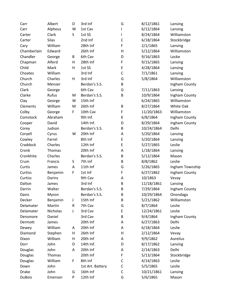| Carr          | Albert          | D           | 3rd Inf          | G | 8/12/1861  | Lansing         |
|---------------|-----------------|-------------|------------------|---|------------|-----------------|
| Carr          | Alpheus         | W           | 1st Cav          | L | 6/12/1864  | Lansing         |
| Carter        | Clark           | S           | 1st SS           | I | 8/24/1864  | Williamston     |
| Carter        | <b>Silas</b>    |             | 2nd Inf          | C | 6/18/1864  | Stockbridge     |
| Cary          | William         |             | 28th Inf         | F | 2/1/1865   | Lansing         |
| Chamberlain   | Edward          |             | 26th Inf         | Н | 5/12/1864  | Williamston     |
| Chandler      | George          | B           | 6th Cav          | D | 9/16/1863  | Locke           |
| Chapman       | Alferd          | Н           | 28th Inf         | F | 9/15/1865  | Lansing         |
| Child         | Mark            | H           | 1st SS           | E | 4/28/1864  | Lansing         |
| Choates       | William         |             | 3rd Inf          | C | 7/1/1861   | Lansing         |
| Church        | Charles         | $\sf H$     | 3rd Inf          | G | 5/8/1864   | Williamston     |
| Church        | Menzer          |             | Berdan's S.S.    | B |            | Ingham County   |
| Clark         | George          |             | 6th Cav          | G | 7/11/1863  | Lansing         |
| Clarke        | Rufus           | M           | Berdan's S.S.    | B | 10/9/1864  | Ingham County   |
| Clay          | George          | W           | 15th Inf         |   | 6/24/1865  | Williamston     |
| Clements      | William         | M           | 26th Inf         | B | 8/27/1864  | White Oak       |
| Colby         | George          | $\mathsf F$ | 10th Cav         | F | 11/20/1863 | Williamston     |
| Comstock      | Abraham         |             | 9th Inf.         | К | 6/8/1864   | Ingham County   |
| Cooper        | David           |             | 14th Inf.        | D | 8/29/1864  | Ingham County   |
| Corey         | Judson          |             | Berdan's S.S.    | B | 10/24/1864 | Delhi           |
| Coryell       | Cyrus           | W           | 20th Inf         | А | 5/20/1864  | Lansing         |
| Cowley        | Farrel          |             | 8th Inf          | E | 5/20/1864  | Lansing         |
| Craddock      | Charles         |             | 12th Inf         | E | 5/27/1865  | Leslie          |
| Cronk         | Thomas          |             | 20th Inf         | А | 1/18/1864  | Lansing         |
| Cronkhite     | Charles         |             | Berdan's S.S.    | B | 5/12/1864  | Mason           |
| Crum          | Francis         | S           | 7th Inf          | B | 8/8/1862   | Leslie          |
| Curtis        | James           | Α           | 11th Inf         | G | 5/26/1865  | Ingham Township |
| Curtiss       | Benjamin        | F           | 1st Inf          | F | 6/27/1862  | Ingham County   |
| Curtiss       | Darins          |             | 9th Cav          | А | 10/1863    | Vevay           |
| Dalton        | James           |             | 3rd Inf          | B | 11/18/1861 | Lansing         |
| Darrin        | Walter          |             | Berdan's S.S.    | B | 7/29/1864  | Ingham County   |
| Davis         | Myron           |             | Berdan's S.S.    | B | 10/29/1864 | Onondaga        |
| Decker        | Benjamin        | J           | 15th Inf         | B | 5/21/1862  | Williamston     |
| Delamater     | Martin          | ${\sf R}$   | 7th Cav          | G | 8/7/1864   | Leslie          |
| Delamater     | <b>Nicholas</b> | J           | 3rd Cav          | E | 12/24/1861 | Leslie          |
| Densmore      | Daniel          |             | 3rd Cav          | B | 9/4/1864   | Ingham County   |
| Dermott       | James           |             | 20th Inf         | А | 6/27/1863  | Delhi           |
| Dewey         | William         | Α           | 20th Inf         | А | 6/18/1864  | Leslie          |
| Diamond       | Stephen         | H           | 26th Inf         | Н | 2/12/1864  | Vevay           |
| Dixon         | William         | Н           | 20th Inf         | Α | 9/9/1862   | Aurelius        |
| Dorr          | John            | D           | 14th Inf.        | D | 8/17/1862  | Lansing         |
| Douglas       | John            | Α           | 20th Inf         | А | 2/14/1863  | Delhi           |
| Douglas       | Thomas          |             | 20th Inf         | F | 5/13/1864  | Stockbridge     |
| Douglas       | William         | F           | 8th Inf          | С | 4/14/1863  | Leslie          |
| Down          | John            |             | 1st Art. Battery | С | 5/5/1865   | Leslie          |
| <b>Drake</b>  | John            | G           | 16th Inf         | C | 10/21/1861 | Lansing         |
| <b>DuBois</b> | Emerson         | P           | 12th Inf         | G | 5/6/1865   | Mason           |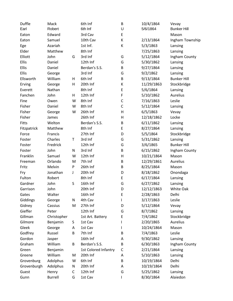| Duffle       | Mack           |   | 6th Inf              | B            | 10/4/1864  | Vevay              |
|--------------|----------------|---|----------------------|--------------|------------|--------------------|
| Earl         | Robert         |   | 6th Inf              | U            | 5/6/1864   | <b>Bunker Hill</b> |
| Eaton        | Edward         |   | 3rd Cav              | E            |            | Mason              |
| Eaton        | Samuel         |   | 10th Cav             | К            | 2/13/1864  | Ingham Township    |
| Ege          | Azariah        |   | 1st Inf.             | К            | 5/3/1863   | Lansing            |
| Elder        | Matthew        |   | 8th Inf              |              | 7/25/1863  | Lansing            |
| Elliott      | John           | G | 3rd Inf              | G            | 5/12/1864  | Ingham County      |
| Ellis        | Daniel         |   | 12th Inf             | G            | 5/30/1862  | Lansing            |
| Ellis        | Daniel         |   | Berdan's S.S.        | B            | 9/27/1864  | Lansing            |
| Ellis        | George         |   | 3rd Inf              | G            | 9/2/1862   | Lansing            |
| Ellsworth    | William        | Н | 6th Inf              | B            | 9/13/1864  | <b>Bunker Hill</b> |
| Erving       | George         | Н | 20th Inf             | К            | 11/29/1863 | Stockbridge        |
| Everett      | Nathan         |   | 8th Inf              | E            | 5/6/1864   | Lansing            |
| Fanchen      | John           | Н | 12th Inf             | F            | 5/10/1862  | <b>Aurelius</b>    |
| Fine         | Owen           | W | 8th Inf              | $\mathsf{C}$ | 7/16/1863  | Leslie             |
| Fisher       | Daniel         | W | 8th Inf              | $\mathsf C$  | 5/12/1864  | Lansing            |
| Fisher       | George         | W | 26th Inf             | Н            | 6/5/1863   | Vevay              |
| Fisher       | James          |   | 26th Inf             | Н            | 12/18/1862 | Locke              |
| <b>Fitts</b> | Welton         |   | Berdan's S.S.        | B            | 6/11/1862  | Lansing            |
| Fitzpatrick  | Matthew        |   | 8th Inf              | E            | 8/27/1864  | Lansing            |
| Force        | Francis        |   | 27th Inf             | D            | 5/5/1864   | Stockbridge        |
| Foster       | Charles        | T | 3rd Inf              | G            | 5/31/1862  | Lansing            |
| Foster       | Fredrick       |   | 12th Inf             | G            | 3/6/1865   | <b>Bunker Hill</b> |
| Foster       | John           | N | 3rd Inf              | B            | 6/15/1862  | Ingham County      |
| Franklin     | Samuel         | W | 12th Inf             | Н            | 10/21/1864 | Mason              |
| Freeman      | Orlando        | M | 7th Inf              | B            | 12/29/1861 | Aurelius           |
| Fritz        | Melvin         | P | 26th Inf             | B            | 8/25/1864  | Mason              |
| Fry          | Jonathan       | J | 20th Inf             | D            | 8/18/1862  | Onondaga           |
| Fulton       | Robert         |   | 8th Inf              | E            | 6/17/1864  | Lansing            |
| Gardner      | John           | S | 16th Inf             | G            | 6/27/1862  | Lansing            |
| Garrison     | John           |   | 20th Inf             | D            | 12/12/1863 | White Oak          |
| Gates        | Walter         |   | 16th Inf             | Ε            | 2/28/1863  | Delhi              |
| Giddings     | George         | N | 4th Cav              | L            | 3/17/1863  | Leslie             |
| Gidney       | Cassius        | M | 27th Inf             | D            | 5/12/1864  | Vevay              |
| Gieffer      | Peter          |   | 12th Inf             | G            | 8/7/1862   | Lansing            |
| Gillman      | Christopher    |   | 1st Art. Battery     | E            | 7/4/1862   | Stockbridge        |
| Gilmore      | Benjamin       | S | 1st Cav              | L            | 2/20/1865  | Aurelius           |
| Gleek        | George         | Α | 1st Cav              | L            | 10/24/1864 | Mason              |
| Godfrey      | Russel         | B | 7th Inf              | B            | 7/4/1863   | Leslie             |
| Gordon       | Jasper         |   | 16th Inf             | А            | 9/30/1862  | Lansing            |
| Graham       | William        | B | Berdan's S.S.        | B            | 6/30/1863  | Ingham County      |
| Green        | Benjamin       |   | 1st Colored Infantry | C            | 2/21/1864  | Lansing            |
| Greene       | William        | M | 20th Inf             | А            | 5/10/1863  | Lansing            |
| Grovenburg   | Adolphus       | W | 6th Inf              | B            | 10/19/1864 | Delhi              |
| Grovenburgh  | Adolphus       | N | 20th Inf             | A            | 10/19/1864 | Delhi              |
| Guest        | Henry          | С | 12th Inf             | G            | 5/25/1862  | Lansing            |
| Gunn         | <b>Burrell</b> | G | 1st Cav              | L            | 8/30/1864  | Alaiedon           |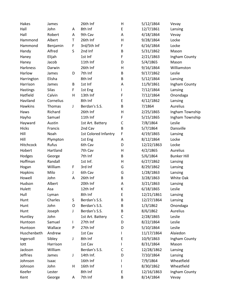| Hakes           | James     |             | 26th Inf             | H            | 5/12/1864  | Vevay              |
|-----------------|-----------|-------------|----------------------|--------------|------------|--------------------|
| Hall            | John      | Α           | 8th Inf              | E            | 12/7/1861  | Lansing            |
| Hall            | Robert    | A           | 9th Cav              | A            | 4/18/1864  | Vevay              |
| Hammond         | Albert    | T           | 26th Inf             | H            | 9/28/1864  | Locke              |
| Hammond         | Benjamin  | $\mathsf F$ | 3rd/5th Inf          | F            | 6/16/1864  | Locke              |
| Handy           | Alfred    | S           | 2nd Inf              | B            | 5/31/1862  | Mason              |
| Haney           | Elijah    |             | 1st Inf              | F            | 2/21/1863  | Ingham County      |
| Haney           | Jacob     |             | 11th Inf             | D            | 5/4/1865   | Mason              |
| <b>Harkness</b> | Darwin    |             | 26th Inf             | H            | 9/16/1864  | Williamston        |
| Harlow          | James     | D           | 7th Inf              | B            | 9/17/1862  | Leslie             |
| Harrington      | Elisha    |             | 8th Inf              | B            | 5/12/1864  | Lansing            |
| Harrison        | James     | B           | 1st Inf              | A            | 11/9/1861  | Ingham County      |
| Hastings        | Silas     | F           | 1st Eng              | L            | 7/12/1864  | Lansing            |
| Hatfield        | Calvin    | Н           | 13th Inf             | F            | 7/12/1864  | Onondaga           |
| Haviland        | Cornelius |             | 8th Inf              | E            | 4/12/1862  | Lansing            |
| <b>Hawkins</b>  | Thomas    | J           | Berdan's S.S.        | B            | 7/1864     | Aurelius           |
| Haws            | Richard   |             | 26th Inf             | Н            | 2/25/1865  | Ingham Township    |
| Hayho           | Samuel    |             | 11th Inf             | F            | 5/15/1865  | Ingham Township    |
| Hayward         | Austin    |             | 1st Art. Battery     | $\mathsf{C}$ | 7/8/1864   | Leslie             |
| <b>Hicks</b>    | Francis   |             | 2nd Cav              | $\sf B$      | 5/7/1864   | Dansville          |
| Hill            | Noah      |             | 1st Colored Infantry | F            | 4/19/1865  | Lansing            |
| Hill            | Plympton  |             | 1st Eng              | Α            | 8/12/1864  | Locke              |
| Hitchcock       | Rufus     |             | 6th Cav              | D            | 12/22/1863 | Locke              |
| Hobert          | Hartland  |             | 7th Cav              | Н            | 4/2/1865   | Aurelius           |
| Hodges          | George    |             | 7th Inf              | B            | 5/6/1864   | <b>Bunker Hill</b> |
| Hoffman         | Randall   |             | 1st Inf.             | H            | 6/27/1862  | Lansing            |
| Hogan           | William   | F           | 3rd Inf              | G            | 8/29/1862  | Lansing            |
| Hopkins         | Milo      | J           | 6th Cav              | G            | 1/28/1863  | Lansing            |
| Howell          | John      | A           | 26th Inf             | B            | 3/28/1863  | White Oak          |
| Hudson          | Albert    |             | 20th Inf             | Α            | 3/21/1863  | Lansing            |
| Hulett          | Asa       |             | 12th Inf             | К            | 6/18/1865  | Leslie             |
| Hull            | Lyman     |             | 8th Inf              | E            | 12/21/1861 | Lansing            |
| Hunt            | Charles   | S           | Berdan's S.S.        | B            | 12/27/1864 | Lansing            |
| Hunt            | John      | O           | Berdan's S.S.        | B            | 1/3/1862   | Onondaga           |
| Hunt            | Joseph    | J           | Berdan's S.S.        | B            | 8/6/1862   | Aurelius           |
| Huntley         | John      |             | 1st Art. Battery     | C            | 2/28/1865  | Leslie             |
| Huntoon         | Samuel    | L           | 27th Inf             | D            | 8/22/1864  | Leslie             |
| Huntoon         | Wallace   | P           | 27th Inf             | D            | 5/10/1864  | Leslie             |
| Huschenbeth     | Andrew    |             | 1st Cav              | L            | 11/17/1864 | Alaiedon           |
| Ingersoll       | Sibley    | J           | 8th Inf              | E            | 10/9/1863  | Ingham County      |
| lott            | Harrison  |             | 1st Cav              | L            | 8/31/1864  | Mason              |
| Jackson         | William   |             | Berdan's S.S.        | C            | 12/28/1862 | Lansing            |
| <b>Jeffries</b> | James     | J           | 14th Inf.            | D            | 7/10/1864  | Lansing            |
| Johnson         | Isaac     |             | 16th Inf             | L            | 7/9/1864   | Wheatfield         |
| Johnson         | John      | Н           | 16th Inf             | L            | 8/30/1862  | Wheatfield         |
| Keefer          | Lester    |             | 8th Inf              | Ε            | 12/16/1863 | Ingham County      |
| Kent            | George    | Α           | 7th Inf              | B            | 8/14/1864  | Vevay              |
|                 |           |             |                      |              |            |                    |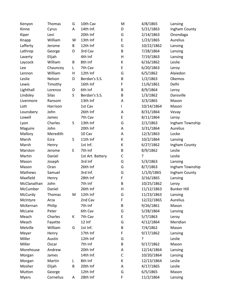| Kenyon       | Thomas       | G | 10th Cav         | M            | 4/8/1865   | Lansing            |
|--------------|--------------|---|------------------|--------------|------------|--------------------|
| Kinne        | Cyrus        | Α | 14th Inf.        | D            | 5/21/1863  | Ingham County      |
| Kiper        | Levi         |   | 20th Inf         | G            | 2/14/1863  | Onondaga           |
| Knapp        | William      | W | 13th Inf         | E            | 1/23/1865  | <b>Aurelius</b>    |
| Lafferty     | Jerome       | B | 12th Inf         | G            | 10/22/1862 | Lansing            |
| Lathrop      | George       | D | 3rd Cav          | B            | 7/28/1864  | Lansing            |
| Laverty      | Elijah       |   | 4th Inf          | $\mathsf{H}$ | 7/19/1863  | Lansing            |
| Laycock      | William      | B | 8th Inf          | К            | 6/16/1862  | Leslie             |
| Lee          | Chauncey     | Г | 7th Cav          | E            | 6/20/1863  | Leroy              |
| Lennon       | William      | H | 12th Inf         | G            | 6/5/1862   | Alaiedon           |
| Leslie       | Nelson       | D | Berdan's S.S.    | B            | 1/2/1863   | Okemos             |
| Lewis        | Timothy      |   | 16th Inf         | F            | 11/6/1861  | Delhi              |
| Lighthall    | Lorenzo      | D | 6th Inf          | B            | 8/9/1864   | Leroy              |
| Lindsley     | <b>Silas</b> | S | Berdan's S.S.    | B            | 1/3/1862   | Dansville          |
| Livermore    | Ransom       |   | 13th Inf         | A            | 3/3/1865   | Mason              |
| Lott         | Harrison     |   | 1st Cav          | L            | 10/14/1864 | Mason              |
| Lounsbery    | John         |   | 26th Inf         | A            | 8/31/1864  | Vevay              |
| Lowell       | James        |   | 7th Cav          | Е            | 8/11/1864  | Leroy              |
| Lyon         | Charles      | S | 13th Inf         | G            | 2/1/1863   | Ingham Township    |
| Maguire      | John         |   | 20th Inf         | A            | 3/31/1864  | Aurelius           |
| Mallory      | Meredith     |   | 10 Cav           | Α            | 12/3/1863  | Locke              |
| Marsh        | Ezra         | S | 11th Inf         | К            | 10/2/1864  | Lansing            |
| Marsh        | Henry        |   | 1st Inf.         | К            | 6/27/1862  | Ingham County      |
| Marston      | Jerome       | E | 7th Inf          | B            | 8/9/1862   | Leslie             |
| Martin       | Daniel       |   | 1st Art. Battery | C            | ŗ          | Leslie             |
| Mason        | Joseph       |   | 3rd Inf          | G            | 5/3/1863   | Lansing            |
| Mason        | Oran         |   | 26th Inf         | G            | 8/7/1863   | Ingham Township    |
| Mathews      | Samuel       |   | 3rd Inf.         | G            | 1/1/0/1865 | Ingham County      |
| Maxfield     | Henry        |   | 28th Inf         | F            | 3/16/1865  | Lansing            |
| McClanathan  | John         |   | 7th Inf          | B            | 10/25/1862 | Leroy              |
| McCumber     | Daniel       |   | 26th Inf         | $\mathsf{H}$ | 11/12/1863 | <b>Bunker Hill</b> |
| McCurdy      | Thomas       | M | 12th Inf         | G            | 11/23/1863 | Lansing            |
| McIntyre     | Arza         |   | 2nd Cav          | F            | 12/22/1865 | Aurelius           |
| McKernan     | Philip       |   | 7th Inf          | B            | 9/26/1861  | Mason              |
| McLane       | Peter        |   | 6th Cav          | G            | 5/28/1864  | Lansing            |
| Meach        | Charles      | К | 7th Cav          | E            | 5/7/1863   | Leroy              |
| Meach        | Fayette      |   | 12 Inf           | G            | 4/12/1864  | Meridian           |
| Melville     | William      | G | 1st Inf.         | B            | 7/4/1862   | Mason              |
| Meyer        | Henry        |   | 17th Inf         | F            | 9/17/1862  | Lansing            |
| Miller       | Austin       |   | 12th Inf         | G            | ?          | Leslie             |
| Miller       | Oscar        |   | 7th Inf          | B            | 9/17/1862  | Mason              |
| Morehouse    | Andrew       |   | 20th Inf         | А            | 12/14/1864 | Lansing            |
| Morgan       | James        |   | 14th Inf.        | C            | 10/20/1864 | Lansing            |
| Morgan       | Martin       | L | 8th Inf          | К            | 12/13/1864 | Leslie             |
| Mosher       | Elijah       | B | 20th Inf         | A            | 4/17/1865  | Leslie             |
| Mutton       | George       |   | 12th Inf         | G            | 6/5/1865   | Mason              |
| <b>Myers</b> | Cornelius    | А | 28th Inf         | F            | 11/2/1864  | Lansing            |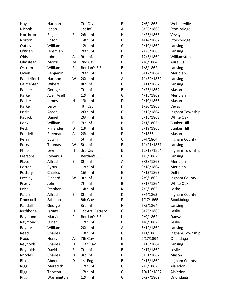| Nay         | Harman      |           | 7th Cav          | E           | 7/6/1863   | Webberville        |
|-------------|-------------|-----------|------------------|-------------|------------|--------------------|
| Nichols     | Jacob       |           | 1st Inf.         | A           | 6/23/1863  | Stockbridge        |
| Northrup    | Edgar       | B         | 26th Inf         | Н           | 4/23/1863  | Vevay              |
| Norton      | Edson       |           | 14th Inf.        | E           | 4/14/1862  | Stockbridge        |
| Oatley      | William     |           | 12th Inf         | G           | 9/19/1862  | Lansing            |
| O'Brian     | Jeremiah    |           | 20th Inf         | Н           | 2/28/1865  | Lansing            |
| Olds        | John        | A         | 9th Inf.         | D           | 12/3/1864  | Williamston        |
| Olmstead    | Morris      | M         | 2nd Cav          | B           | 7/6/1864   | Aurelius           |
| Ostrum      | William     | ${\sf R}$ | Berdan's S.S.    | B           | 1/8/1862   | Lansing            |
| Owen        | Benjamin    | F         | 26th Inf         | Н           | 6/12/1864  | Meridian           |
| Paddelford  | Harmon      | W         | 20th Inf         | Α           | 11/30/1862 | Lansing            |
| Palmenter   | Wibert      |           | 8th Inf          | E           | 3/11/1862  | Lansing            |
| Palmer      | George      |           | 7th Inf          | B           | 9/25/1862  | Mason              |
| Parker      | Acel (Asel) |           | 12th Inf         | G           | 4/15/1862  | Meridian           |
| Parker      | James       | Η         | 13th Inf         | D           | 2/10/1865  | Mason              |
| Parker      | Leroy       |           | 4th Cav          | L           | 1/30/1863  | Vevay              |
| Parks       | Aaron       |           | 26th Inf         | G           | 5/12/1864  | Ingham Township    |
| Patrick     | Daniel      |           | 26th Inf         | B           | 5/15/1863  | White Oak          |
| Peak        | William     | C         | 7th Inf          | B           | 2/1/1863   | <b>Bunker Hill</b> |
| Peck        | Philander   | D         | 13th Inf         | B           | 3/19/1865  | <b>Bunker Hill</b> |
| Pendell     | Freeman     | Α         | 28th Inf         | F           | 2/1865     | Mason              |
| Perry       | Edwin       |           | 5th Inf          | $\mathsf C$ | 8/4/1864   | Ingham County      |
| Perry       | Thomas      | W         | 8th Inf          | E           | 11/21/1861 | Lansing            |
| Philo       | Levi        | H         | 3rd Cav          | B           | 11/17/1864 | Ingham Township    |
| Piersons    | Sylvanus    | L         | Berdan's S.S.    | B           | 1/5/1862   | Lansing            |
| Place       | Alfred      | E         | 8th Inf          | Α           | 8/28/1863  | Meridian           |
| Potter      | Cyrus       |           | 12th Inf         | G           | 9/18/1864  | Meridian           |
| Pottery     | Charles     |           | 16th Inf         | $\sf E$     | 4/13/1863  | Delhi              |
| Presley     | Richard     | W         | 9th Inf.         | Н           | 2/9/1862   | Ingham County      |
| Presly      | John        |           | 7th Inf          | B           | 8/17/1864  | White Oak          |
| Price       | Stephen     | L         | 14th Inf.        | К           | 2/5/1865   | Locke              |
| Ralph       | Alfred      | E         | 8th Inf          | К           | 8/4/1863   | Ingham County      |
| Ramsdell    | Stillman    |           | 8th Cav          | E           | 1/17/1865  | Stockbridge        |
| Randall     | George      |           | 3rd Inf          | Н           | 5/5/1864   | Lansing            |
| Rathbone    | James       | н         | 1st Art. Battery | C           | 6/23/1865  | Leslie             |
| Raymond     | Marvin      | P         | Berdan's S.S.    | L           | 9/9/1862   | Dansville          |
| Raymond     | Oscar       | J         | 12th Inf         | D           | 4/6/1862   | Leslie             |
| Raynor      | William     |           | 20th Inf         | Α           | 6/12/1864  | Lansing            |
| Reed        | Charles     |           | 13th Inf         | G           | 1/1/1863   | Ingham Township    |
| Reed        | Henry       | A         | 7th Cav          | Κ           | 6/17/1864  | Onondaga           |
| Reynolds    | Charles     | Н         | 11th Cav         | К           | 9/15/1864  | Lansing            |
| Reynolds    | David       | B         | 7th Inf          | Β           | 9/17/1862  | Leslie             |
| Rhodes      | Charles     | Н         | 3rd Inf          | Е           | 5/31/1862  | Mason              |
| Rice        | Abner       | D         | 1st Eng          | B           | 2/15/1864  | Ingham County      |
| <b>Rigg</b> | Meredith    |           | 12th Inf         | G           | 7/5/1862   | Alaiedon           |
| <b>Rigg</b> | Thorton     |           | 12th Inf         | G           | 10/15/1862 | Alaiedon           |
| <b>Rigg</b> | Washington  |           | 12th Inf         | G           | 6/27/1862  | Onondaga           |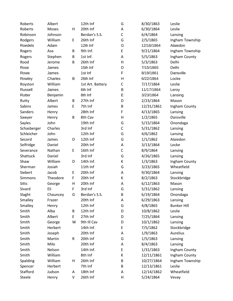| Roberts      | Albert   |   | 12th Inf         | G            | 8/30/1863  | Leslie             |
|--------------|----------|---|------------------|--------------|------------|--------------------|
| Roberts      | Moses    | Н | 20th Inf         | A            | 6/30/1864  | Leslie             |
| Robinson     | Johnson  |   | Berdan's S.S.    | $\mathsf{C}$ | 6/4/1864   | Lansing            |
| Rodgers      | William  | Е | 26th Inf         | G            | 2/5/1865   | Ingham Township    |
| Roedels      | Adam     |   | 12th Inf         | G            | 12/16/1864 | Alaiedon           |
| Rogers       | Asa      | B | 9th Inf.         | E            | 9/21/1864  | Ingham Township    |
| Rogers       | Stephen  | B | 1st Inf.         | A            | 5/5/1863   | Ingham County      |
| Rood         | Jerome   | B | 26th Inf         | H            | 5/3/1863   | Delhi              |
| Rose         | James    |   | 15th Inf         | D            | 7/15/1865  | Delhi              |
| Rowe         | James    |   | 1st Inf          | F            | 8/19/1861  | Dansville          |
| Rowley       | Charles  | B | 26th Inf         | Н            | 6/22/1864  | Locke              |
| Royston      | William  |   | 1st Art. Battery | C            | 7/17/1864  | Leslie             |
| Russell      | James    |   | 6th Inf          | B            | 11/17/1864 | Leroy              |
| Rutter       | Benjamin |   | 8th Inf          | E            | 3/23/1864  | Lansing            |
| Rutty        | Albert   | B | 27th Inf         | D            | 2/23/1864  | Mason              |
| Sabins       | James    | E | 7th Inf          | B            | 12/31/1861 | Ingham County      |
| Sanders      | Henry    |   | 28th Inf         | F            | 4/13/1865  | Lansing            |
| Sawyer       | Henry    | B | 8th Cav          | Н            | 1/2/1865   | Dansville          |
| Sayles       | John     |   | 19th Inf         | G            | 5/15/1864  | Onondaga           |
| Schasberger  | Charles  |   | 3rd Inf          | $\mathsf C$  | 5/31/1862  | Lansing            |
| Schleicher   | John     |   | 12th Inf         | G            | 4/6/1862   | Lansing            |
| Secord       | James    | D | 12th Inf         | G            | 1/1/1862   | Alaiedon           |
| Selfridge    | Daniel   |   | 20th Inf         | А            | 3/13/1864  | Locke              |
| Severance    | Nathan   | E | 16th Inf         | $\mathsf C$  | 8/9/1864   | Lansing            |
| Shattuck     | Daniel   |   | 3rd Inf          | G            | 4/26/1865  | Lansing            |
| Shaw         | William  | D | 14th Inf.        | К            | 1/3/1863   | Ingham County      |
| Sherman      | Josiah   |   | 11th Inf         | G            | 3/23/1865  | Wheatfield         |
| Siebert      | Jacob    | Е | 20th Inf         | A            | 9/30/1864  | Lansing            |
| Simmons      | Theodore | F | 20th Inf         | К            | 8/2/1863   | Stockbridge        |
| <b>Sitts</b> | George   | Н | 20th Inf         | Α            | 6/12/1863  | Mason              |
| Sivard       | Eli      | F | 3rd Inf          | G            | 5/31/1862  | Lansing            |
| Slaght       | Chauncey | G | Berdan's S.S.    | B            | 6/19/1864  | Onondaga           |
| Smalley      | Frazer   |   | 20th Inf         | Α            | 6/29/1863  | Lansing            |
| Smalley      | Henry    |   | 12th Inf         | G            | 4/8/1865   | <b>Bunker Hill</b> |
| Smith        | Alba     | B | 12th Inf         | D            | 10/8/1862  | Leslie             |
| Smith        | Albert   | E | 27th Inf         | D            | 7/25/1864  | Lansing            |
| Smith        | George   | W | 9th III Cav      | D            | 10/1/1862  | Lansing            |
| Smith        | Herbert  |   | 14th Inf.        | E            | 7/5/1862   | Stockbridge        |
| Smith        | Joseph   |   | 20th Inf         | A            | 1/9/1863   | Aurelius           |
| Smith        | Martin   | R | 20th Inf         | G            | 1/5/1863   | Lansing            |
| Smith        | Milo     |   | 20th Inf         | А            | 8/4/1863   | Lansing            |
| Smith        | Nelson   |   | 14th Inf.        | E            | 1/31/1863  | Ingham County      |
| Smith        | William  |   | 8th Inf          | К            | 12/11/1861 | Ingham County      |
| Spalding     | William  | н | 26th Inf         | B            | 10/27/1864 | Ingham Township    |
| Spencer      | Herbert  |   | 7th Inf          | B            | 12/13/1861 | Leslie             |
| Stafford     | Judson   | А | 18th Inf         | Α            | 12/14/1862 | Wheatfield         |
| Steele       | Henry    | V | 26th Inf         | Н            | 5/24/1864  | Vevay              |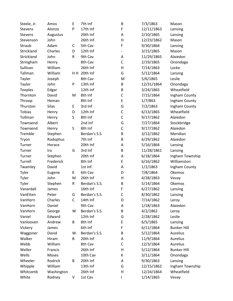| Steele, Jr.    | Amos         | E           | 7th Inf       | $\sf B$     | 7/3/1863   | Mason              |
|----------------|--------------|-------------|---------------|-------------|------------|--------------------|
| Stevens        | Alonzo       | P           | 17th Inf      | F           | 12/11/1863 | Lansing            |
| Stevens        | Augustus     |             | 20th Inf      | Α           | 2/10/1865  | Lansing            |
| Stevenson      | John         |             | 26th Inf      | Н           | 12/23/1862 | Mason              |
| Straub         | Adam         | C           | 5th Cav       | F           | 9/30/1864  | Lansing            |
| Strickland     | Charles      | D           | 12th Inf      |             | 3/15/1865  | Mason              |
| Strickland     | John         | R           | 9th Cav       | A           | 11/29/1865 | Alaiedon           |
| Stringham      | Henry        |             | 8th Cav       | $\mathsf C$ | 2/19/1865  | Onondaga           |
| Sullivan       | William      |             | 26th Inf      | Н           | 7/14/1863  | Locke              |
| Tallman        | William      |             | HH 20th Inf   | G           | 5/12/1864  | Lansing            |
| Tayler         | Joseph       |             | 8th Cav       | M           | 5/6/1865   | Leslie             |
| Taylor         | John         | P           | 13th Inf      | B           | 12/31/1864 | Onondaga           |
| <b>Teeples</b> | Edgar        |             | 12th Inf      | B           | 3/24/1865  | Wheatfield         |
| Thornton       | David        | M           | 8th Inf       | $\mathsf C$ | 7/15/1864  | Ingham County      |
| Throop         | Heman        |             | 8th Inf       | E           | 1/7/863    | Ingham County      |
| Thurston       | <b>Silas</b> | E           | 3rd Inf       | G           | 7/2/1863   | Ingham County      |
| <b>Tobias</b>  | Henry        | D           | 12th Inf      | $\mathsf C$ | 6/13/1865  | Wheatfield         |
| Tollman        | Henry        | S           | 8th Inf       | $\mathsf C$ | 9/17/1862  | Alaiedon           |
| Townsend       | Albert       |             | 2nd Inf       | G           | 7/27/1864  | Stockbridge        |
| Townsend       | Henry        | $\sf S$     | 8th Inf       | $\mathsf C$ | 9/17/1862  | Alaiedon           |
| Tremble        | Stephen      |             | Berdan's S.S. | B           | 3/12/1862  | Meridian           |
| Tryon          | Rodophus     |             | 7th Inf       | B           | 6/29/1862  | Alaiedon           |
| Turner         | Horace       |             | 20th Inf      | Α           | 5/16/1864  | Lansing            |
| Turner         | Ira          | G           | 3rd Inf       | B           | 11/28/1861 | Lansing            |
| Turner         | Stephen      |             | 20th Inf      | Α           | 6/18/1864  | Ingham Township    |
| Turrell        | Frederick    |             | 8th Inf       | E           | 6/16/1862  | Williamston        |
| Twamley        | David        |             | 1st Inf.      | Α           | 1/1/1863   | Ingham County      |
| Tyler          | Eugene       | К           | 6th Cav       | D           | 7/8/1864   | Okemos             |
| Tyler          | John         | M           | 26th Inf      | Н           | 4/28/1863  | Vevay              |
| Tyler          | Stephen      | R           | Berdan's S.S. | B           | 5/14/1864  | Okemos             |
| Vanardall      | James        |             | 16th Inf      | F           | 6/27/1862  | Lansing            |
| VanEtten       | Peter        | G           | Berdan's S.S. | C           | 8/30/1862  | Lansing            |
| VanHorn        | Charles      | $\mathsf C$ | 14th Inf      | D           | 7/14/1862  | Leroy              |
| VanHorn        | Daniel       |             | 9th Cav       | A           | 1/18/1863  | Alaiedon           |
| VanHorn        | George       | W           | Berdan's S.S. | B           | 4/2/1862   | Leroy              |
| Vaniel         | Edward       |             | 12th Inf      | G           | 2/28/1862  | Leslie             |
| Vanlooven      | Andrew       | В           | 8th Inf       | E           | 6/5/1865   | Lansing            |
| Vickery        | James        |             | 6th Inf       | F           | 6/11/1864  | <b>Bunker Hill</b> |
| Waggoner       | David        | W.          | Berdan's S.S. | B           | 5/12/1864  | Aurelius           |
| Walker         | Hiram        | B           | 20th Inf      | A           | 11/9/1864  | Aurelius           |
| Webb           | William      |             | 8th Cav       | $\mathsf C$ | 12/3/1864  | Aurelius           |
| Weller         | Francis      |             | 26th Inf      | Н           | 5/12/1864  | <b>Bunker Hill</b> |
| Wells          | Moses        |             | 10th Cav      | К           | 3/11/1864  | Onondaga           |
| Wheeler        | Rodrick      | B           | 20th Inf      | Α           | 9/30/1863  | Lansing            |
| Whipple        | William      |             | 13th Inf      | G           | 12/15/1862 | Ingham Township    |
| Whitcomb       | Washington   |             | 26th Inf      | Н           | 12/24/1864 | Wheatfield         |
| White          | Rodney       | V           | 1st Cav       | L           | 1/14/1865  | Vevay              |